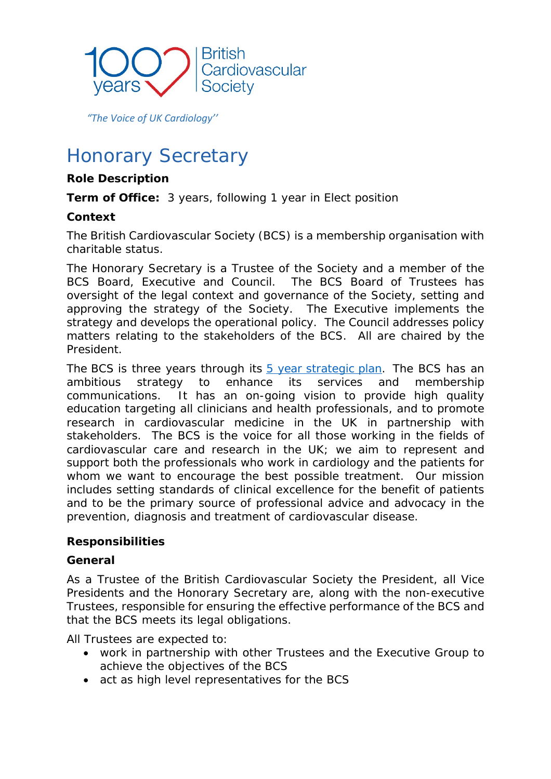

 *"The Voice of UK Cardiology''*

# Honorary Secretary

## **Role Description**

**Term of Office:** 3 years, following 1 year in Elect position

## **Context**

The British Cardiovascular Society (BCS) is a membership organisation with charitable status.

The Honorary Secretary is a Trustee of the Society and a member of the BCS Board, Executive and Council. The BCS Board of Trustees has oversight of the legal context and governance of the Society, setting and approving the strategy of the Society. The Executive implements the strategy and develops the operational policy. The Council addresses policy matters relating to the stakeholders of the BCS. All are chaired by the President.

The BCS is three [year](file://172.16.0.242/work/BCS%20Directories/Officers/BCS%20Elections/Elections%202019/call%20for%20nominations%20documents/Post%20descriptions%20word%20versions/BCS%20Strategy%202020-2024.pdf)s through its  $5$  year [strategic](https://www.britishcardiovascularsociety.org/__data/assets/pdf_file/0010/42031/BCS-Strategy-2020-2024.pdf) plan. The BCS has an ambitious strategy to enhance its services and membership communications. It has an on-going vision to provide high quality education targeting all clinicians and health professionals, and to promote research in cardiovascular medicine in the UK in partnership with stakeholders. The BCS is the voice for all those working in the fields of cardiovascular care and research in the UK; we aim to represent and support both the professionals who work in cardiology and the patients for whom we want to encourage the best possible treatment. Our mission includes setting standards of clinical excellence for the benefit of patients and to be the primary source of professional advice and advocacy in the prevention, diagnosis and treatment of cardiovascular disease.

## **Responsibilities**

## *General*

As a Trustee of the British Cardiovascular Society the President, all Vice Presidents and the Honorary Secretary are, along with the non-executive Trustees, responsible for ensuring the effective performance of the BCS and that the BCS meets its legal obligations.

All Trustees are expected to:

- work in partnership with other Trustees and the Executive Group to achieve the objectives of the BCS
- act as high level representatives for the BCS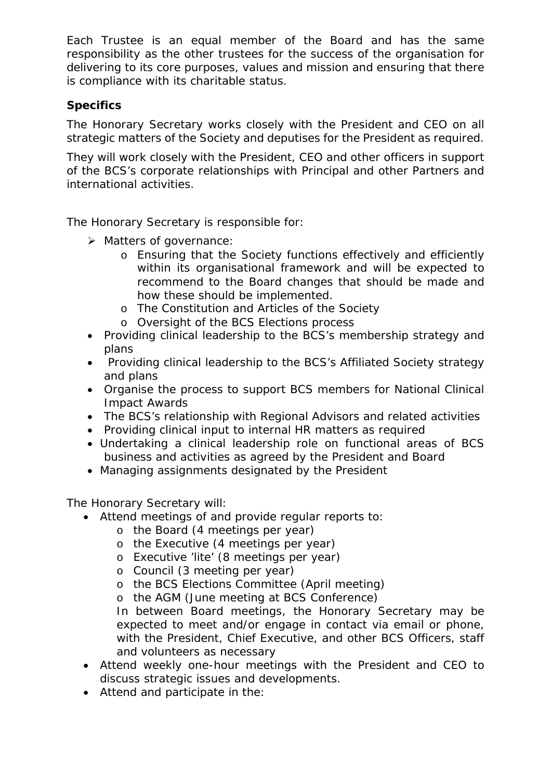Each Trustee is an equal member of the Board and has the same responsibility as the other trustees for the success of the organisation for delivering to its core purposes, values and mission and ensuring that there is compliance with its charitable status.

# *Specifics*

The Honorary Secretary works closely with the President and CEO on all strategic matters of the Society and deputises for the President as required.

They will work closely with the President, CEO and other officers in support of the BCS's corporate relationships with Principal and other Partners and international activities.

The Honorary Secretary is responsible for:

- > Matters of governance:
	- o Ensuring that the Society functions effectively and efficiently within its organisational framework and will be expected to recommend to the Board changes that should be made and how these should be implemented.
	- o The Constitution and Articles of the Society
	- o Oversight of the BCS Elections process
- Providing clinical leadership to the BCS's membership strategy and plans
- Providing clinical leadership to the BCS's Affiliated Society strategy and plans
- Organise the process to support BCS members for National Clinical Impact Awards
- The BCS's relationship with Regional Advisors and related activities
- Providing clinical input to internal HR matters as required
- Undertaking a clinical leadership role on functional areas of BCS business and activities as agreed by the President and Board
- Managing assignments designated by the President

The Honorary Secretary will:

- Attend meetings of and provide regular reports to:
	- o the Board (4 meetings per year)
	- o the Executive (4 meetings per year)
	- o Executive 'lite' (8 meetings per year)
	- o Council (3 meeting per year)
	- o the BCS Elections Committee (April meeting)
	- o the AGM (June meeting at BCS Conference)

In between Board meetings, the Honorary Secretary may be expected to meet and/or engage in contact via email or phone, with the President, Chief Executive, and other BCS Officers, staff and volunteers as necessary

- Attend weekly one-hour meetings with the President and CEO to discuss strategic issues and developments.
- Attend and participate in the: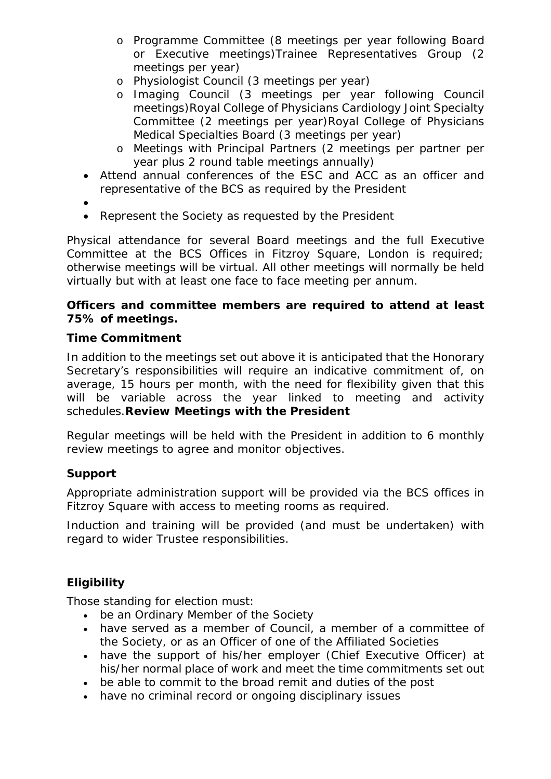- o Programme Committee (8 meetings per year following Board or Executive meetings)Trainee Representatives Group (2 meetings per year)
- o Physiologist Council (3 meetings per year)
- o Imaging Council (3 meetings per year following Council meetings)Royal College of Physicians Cardiology Joint Specialty Committee (2 meetings per year)Royal College of Physicians Medical Specialties Board (3 meetings per year)
- o Meetings with Principal Partners (2 meetings per partner per year plus 2 round table meetings annually)
- Attend annual conferences of the ESC and ACC as an officer and representative of the BCS as required by the President
- •
- Represent the Society as requested by the President

Physical attendance for several Board meetings and the full Executive Committee at the BCS Offices in Fitzroy Square, London is required; otherwise meetings will be virtual. All other meetings will normally be held virtually but with at least one face to face meeting per annum.

### *Officers and committee members are required to attend at least 75% of meetings.*

#### *Time Commitment*

In addition to the meetings set out above it is anticipated that the Honorary Secretary's responsibilities will require an indicative commitment of, on average, 15 hours per month, with the need for flexibility given that this will be variable across the year linked to meeting and activity schedules.*Review Meetings with the President*

Regular meetings will be held with the President in addition to 6 monthly review meetings to agree and monitor objectives.

## *Support*

Appropriate administration support will be provided via the BCS offices in Fitzroy Square with access to meeting rooms as required.

Induction and training will be provided (and must be undertaken) with regard to wider Trustee responsibilities.

## *Eligibility*

Those standing for election must:

- be an Ordinary Member of the Society
- have served as a member of Council, a member of a committee of the Society, or as an Officer of one of the Affiliated Societies
- have the support of his/her employer (Chief Executive Officer) at his/her normal place of work and meet the time commitments set out
- be able to commit to the broad remit and duties of the post
- have no criminal record or ongoing disciplinary issues